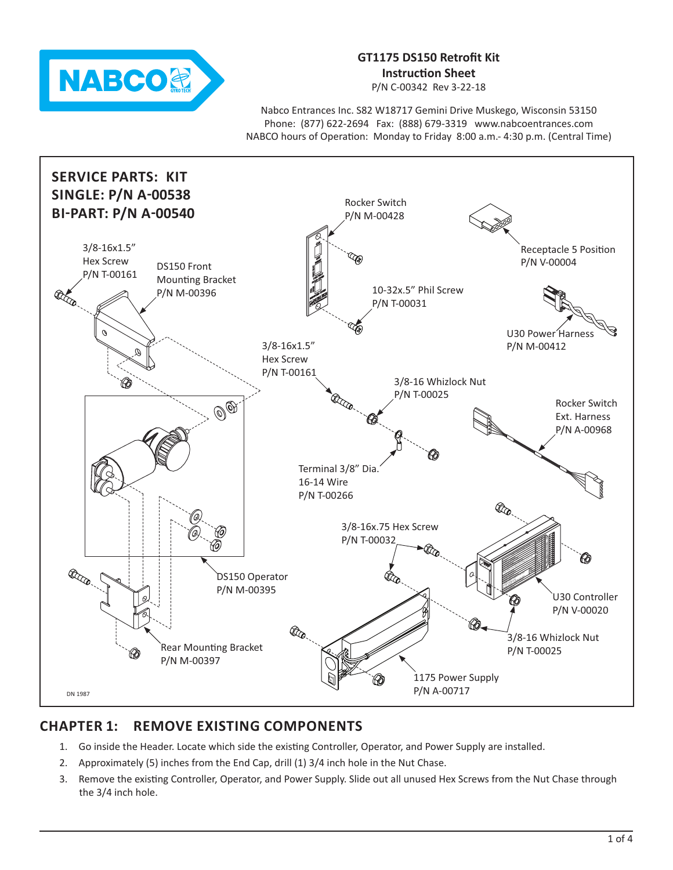

# **GT1175 DS150 Retrofit Kit Instruction Sheet**

P/N C-00342 Rev 3-22-18

Nabco Entrances Inc. S82 W18717 Gemini Drive Muskego, Wisconsin 53150 Phone: (877) 622-2694 Fax: (888) 679-3319 www.nabcoentrances.com NABCO hours of Operation: Monday to Friday 8:00 a.m.- 4:30 p.m. (Central Time)



# **CHAPTER 1: REMOVE EXISTING COMPONENTS**

- 1. Go inside the Header. Locate which side the existing Controller, Operator, and Power Supply are installed.
- 2. Approximately (5) inches from the End Cap, drill (1) 3/4 inch hole in the Nut Chase.
- 3. Remove the existing Controller, Operator, and Power Supply. Slide out all unused Hex Screws from the Nut Chase through the 3/4 inch hole.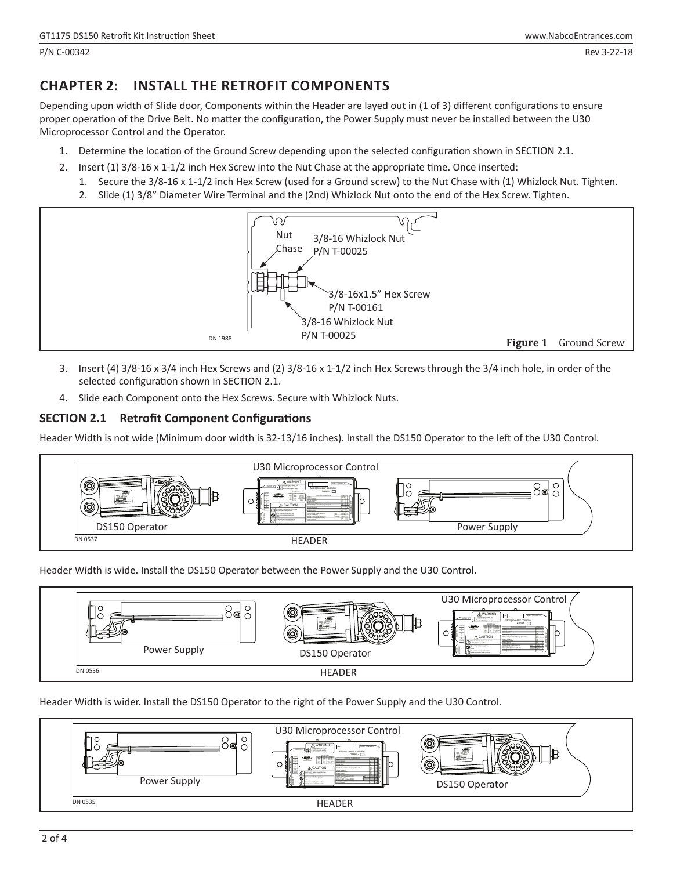## **CHAPTER 2: INSTALL THE RETROFIT COMPONENTS**

Depending upon width of Slide door, Components within the Header are layed out in (1 of 3) different configurations to ensure proper operation of the Drive Belt. No matter the configuration, the Power Supply must never be installed between the U30 Microprocessor Control and the Operator.

- 1. Determine the location of the Ground Screw depending upon the selected configuration shown in SECTION 2.1.
- 2. Insert (1) 3/8-16 x 1-1/2 inch Hex Screw into the Nut Chase at the appropriate time. Once inserted:
	- 1. Secure the 3/8-16 x 1-1/2 inch Hex Screw (used for a Ground screw) to the Nut Chase with (1) Whizlock Nut. Tighten.
	- 2. Slide (1) 3/8" Diameter Wire Terminal and the (2nd) Whizlock Nut onto the end of the Hex Screw. Tighten.



- 3. Insert (4) 3/8-16 x 3/4 inch Hex Screws and (2) 3/8-16 x 1-1/2 inch Hex Screws through the 3/4 inch hole, in order of the selected configuration shown in SECTION 2.1.
- 4. Slide each Component onto the Hex Screws. Secure with Whizlock Nuts.

#### **SECTION 2.1 Retrofit Component Configurations**

Header Width is not wide (Minimum door width is 32-13/16 inches). Install the DS150 Operator to the left of the U30 Control.



Header Width is wide. Install the DS150 Operator between the Power Supply and the U30 Control.



Header Width is wider. Install the DS150 Operator to the right of the Power Supply and the U30 Control.

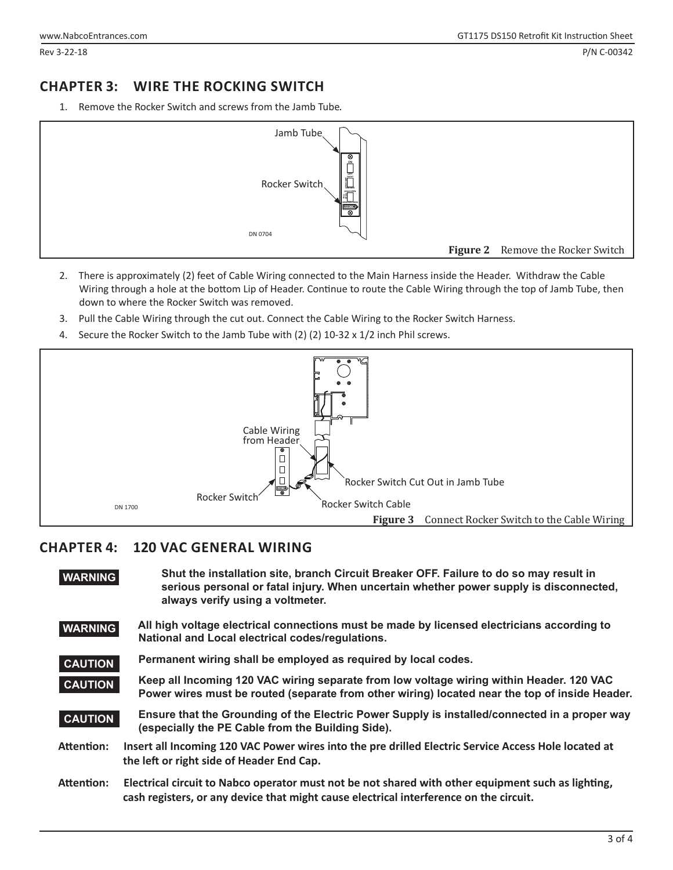### **CHAPTER 3: WIRE THE ROCKING SWITCH**

1. Remove the Rocker Switch and screws from the Jamb Tube.



- 2. There is approximately (2) feet of Cable Wiring connected to the Main Harness inside the Header. Withdraw the Cable Wiring through a hole at the bottom Lip of Header. Continue to route the Cable Wiring through the top of Jamb Tube, then down to where the Rocker Switch was removed.
- 3. Pull the Cable Wiring through the cut out. Connect the Cable Wiring to the Rocker Switch Harness.
- 4. Secure the Rocker Switch to the Jamb Tube with (2) (2) 10-32 x 1/2 inch Phil screws.



## **CHAPTER 4: 120 VAC GENERAL WIRING**

| <b>WARNING</b> | Shut the installation site, branch Circuit Breaker OFF. Failure to do so may result in<br>serious personal or fatal injury. When uncertain whether power supply is disconnected,<br>always verify using a voltmeter. |
|----------------|----------------------------------------------------------------------------------------------------------------------------------------------------------------------------------------------------------------------|
| <b>WARNING</b> | All high voltage electrical connections must be made by licensed electricians according to<br>National and Local electrical codes/regulations.                                                                       |
| <b>CAUTION</b> | Permanent wiring shall be employed as required by local codes.                                                                                                                                                       |
| <b>CAUTION</b> | Keep all Incoming 120 VAC wiring separate from low voltage wiring within Header. 120 VAC<br>Power wires must be routed (separate from other wiring) located near the top of inside Header.                           |
| <b>CAUTION</b> | Ensure that the Grounding of the Electric Power Supply is installed/connected in a proper way<br>(especially the PE Cable from the Building Side).                                                                   |
| Attention:     | Insert all Incoming 120 VAC Power wires into the pre drilled Electric Service Access Hole located at<br>the left or right side of Header End Cap.                                                                    |
| Attention:     | Electrical circuit to Nabco operator must not be not shared with other equipment such as lighting,<br>cash registers, or any device that might cause electrical interference on the circuit.                         |